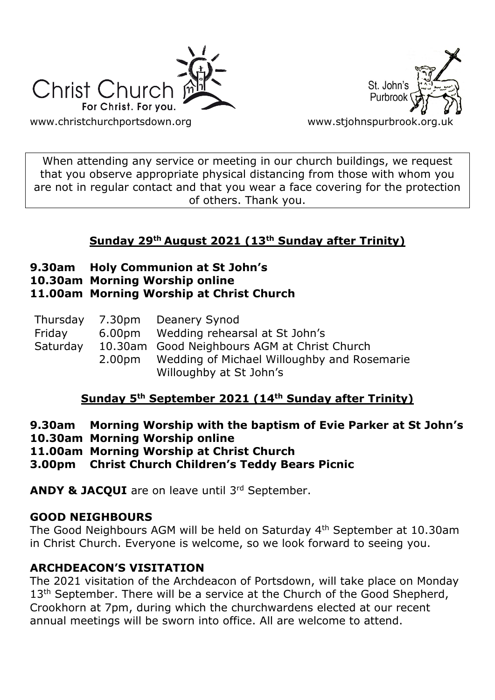



When attending any service or meeting in our church buildings, we request that you observe appropriate physical distancing from those with whom you are not in regular contact and that you wear a face covering for the protection of others. Thank you.

# **Sunday 29th August 2021 (13th Sunday after Trinity)**

- **9.30am Holy Communion at St John's**
- **10.30am Morning Worship online**

# **11.00am Morning Worship at Christ Church**

| Friday<br>Saturday | Thursday 7.30pm Deanery Synod<br>6.00pm Wedding rehearsal at St John's<br>10.30am Good Neighbours AGM at Christ Church<br>2.00pm Wedding of Michael Willoughby and Rosemarie |
|--------------------|------------------------------------------------------------------------------------------------------------------------------------------------------------------------------|
|                    | Willoughby at St John's                                                                                                                                                      |

# **Sunday 5th September 2021 (14th Sunday after Trinity)**

- **9.30am Morning Worship with the baptism of Evie Parker at St John's**
- **10.30am Morning Worship online**
- **11.00am Morning Worship at Christ Church**
- **3.00pm Christ Church Children's Teddy Bears Picnic**

**ANDY & JACQUI** are on leave until 3rd September.

## **GOOD NEIGHBOURS**

The Good Neighbours AGM will be held on Saturday 4<sup>th</sup> September at 10.30am in Christ Church. Everyone is welcome, so we look forward to seeing you.

# **ARCHDEACON'S VISITATION**

The 2021 visitation of the Archdeacon of Portsdown, will take place on Monday 13<sup>th</sup> September. There will be a service at the Church of the Good Shepherd, Crookhorn at 7pm, during which the churchwardens elected at our recent annual meetings will be sworn into office. All are welcome to attend.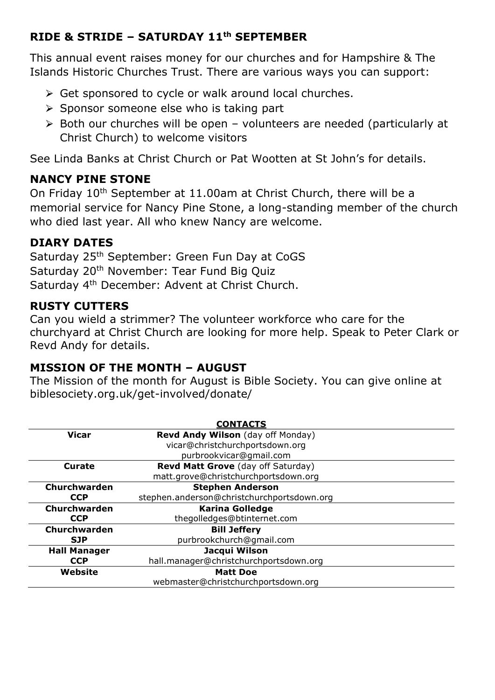## **RIDE & STRIDE – SATURDAY 11th SEPTEMBER**

This annual event raises money for our churches and for Hampshire & The Islands Historic Churches Trust. There are various ways you can support:

- $\triangleright$  Get sponsored to cycle or walk around local churches.
- $\triangleright$  Sponsor someone else who is taking part
- $\ge$  Both our churches will be open volunteers are needed (particularly at Christ Church) to welcome visitors

See Linda Banks at Christ Church or Pat Wootten at St John's for details.

## **NANCY PINE STONE**

On Friday 10<sup>th</sup> September at 11.00am at Christ Church, there will be a memorial service for Nancy Pine Stone, a long-standing member of the church who died last year. All who knew Nancy are welcome.

## **DIARY DATES**

Saturday 25th September: Green Fun Day at CoGS Saturday 20<sup>th</sup> November: Tear Fund Big Quiz Saturday 4th December: Advent at Christ Church.

### **RUSTY CUTTERS**

Can you wield a strimmer? The volunteer workforce who care for the churchyard at Christ Church are looking for more help. Speak to Peter Clark or Revd Andy for details.

### **MISSION OF THE MONTH – AUGUST**

The Mission of the month for August is Bible Society. You can give online at biblesociety.org.uk/get-involved/donate/

|                     | <b>CONTACTS</b>                            |
|---------------------|--------------------------------------------|
| <b>Vicar</b>        | Revd Andy Wilson (day off Monday)          |
|                     | vicar@christchurchportsdown.org            |
|                     | purbrookvicar@gmail.com                    |
| Curate              | <b>Revd Matt Grove</b> (day off Saturday)  |
|                     | matt.grove@christchurchportsdown.org       |
| Churchwarden        | <b>Stephen Anderson</b>                    |
| <b>CCP</b>          | stephen.anderson@christchurchportsdown.org |
| Churchwarden        | <b>Karina Golledge</b>                     |
| <b>CCP</b>          | thegolledges@btinternet.com                |
| Churchwarden        | <b>Bill Jeffery</b>                        |
| <b>SJP</b>          | purbrookchurch@gmail.com                   |
| <b>Hall Manager</b> | Jacqui Wilson                              |
| <b>CCP</b>          | hall.manager@christchurchportsdown.org     |
| Website             | <b>Matt Doe</b>                            |
|                     | webmaster@christchurchportsdown.org        |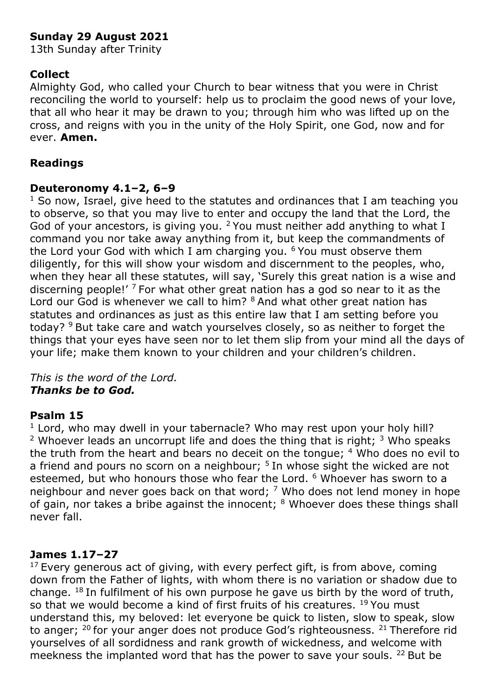## **Sunday 29 August 2021**

13th Sunday after Trinity

#### **Collect**

Almighty God, who called your Church to bear witness that you were in Christ reconciling the world to yourself: help us to proclaim the good news of your love, that all who hear it may be drawn to you; through him who was lifted up on the cross, and reigns with you in the unity of the Holy Spirit, one God, now and for ever. **Amen.**

### **Readings**

#### **Deuteronomy 4.1–2, 6–9**

 $1$  So now, Israel, give heed to the statutes and ordinances that I am teaching you to observe, so that you may live to enter and occupy the land that the Lord, the God of your ancestors, is giving you. <sup>2</sup> You must neither add anything to what I command you nor take away anything from it, but keep the commandments of the Lord your God with which I am charging you.  $6$  You must observe them diligently, for this will show your wisdom and discernment to the peoples, who, when they hear all these statutes, will say, 'Surely this great nation is a wise and discerning people!'  $7$  For what other great nation has a god so near to it as the Lord our God is whenever we call to him? <sup>8</sup> And what other great nation has statutes and ordinances as just as this entire law that I am setting before you today? <sup>9</sup> But take care and watch yourselves closely, so as neither to forget the things that your eyes have seen nor to let them slip from your mind all the days of your life; make them known to your children and your children's children.

*This is the word of the Lord. Thanks be to God.*

#### **Psalm 15**

 $1$  Lord, who may dwell in your tabernacle? Who may rest upon your holy hill? <sup>2</sup> Whoever leads an uncorrupt life and does the thing that is right;  $3$  Who speaks the truth from the heart and bears no deceit on the tongue;  $4$  Who does no evil to a friend and pours no scorn on a neighbour;  $5$  In whose sight the wicked are not esteemed, but who honours those who fear the Lord. <sup>6</sup> Whoever has sworn to a neighbour and never goes back on that word;  $<sup>7</sup>$  Who does not lend money in hope</sup> of gain, nor takes a bribe against the innocent; <sup>8</sup> Whoever does these things shall never fall.

#### **James 1.17–27**

 $17$  Every generous act of giving, with every perfect gift, is from above, coming down from the Father of lights, with whom there is no variation or shadow due to change.  $18$  In fulfilment of his own purpose he gave us birth by the word of truth, so that we would become a kind of first fruits of his creatures. <sup>19</sup> You must understand this, my beloved: let everyone be quick to listen, slow to speak, slow to anger;  $20$  for your anger does not produce God's righteousness.  $21$  Therefore rid yourselves of all sordidness and rank growth of wickedness, and welcome with meekness the implanted word that has the power to save your souls.  $22$  But be